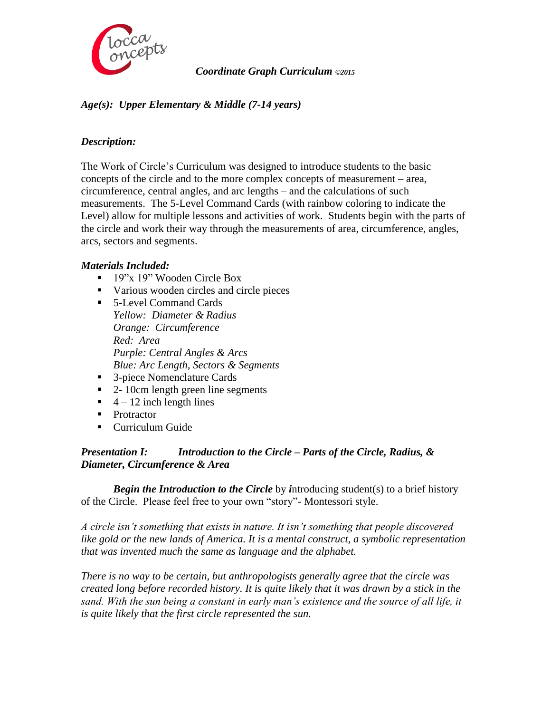

# *Coordinate Graph Curriculum ©2015*

# *Age(s): Upper Elementary & Middle (7-14 years)*

# *Description:*

The Work of Circle's Curriculum was designed to introduce students to the basic concepts of the circle and to the more complex concepts of measurement – area, circumference, central angles, and arc lengths – and the calculations of such measurements. The 5-Level Command Cards (with rainbow coloring to indicate the Level) allow for multiple lessons and activities of work. Students begin with the parts of the circle and work their way through the measurements of area, circumference, angles, arcs, sectors and segments.

# *Materials Included:*

- 19"x 19" Wooden Circle Box
- various wooden circles and circle pieces
- 5-Level Command Cards *Yellow: Diameter & Radius Orange: Circumference Red: Area Purple: Central Angles & Arcs Blue: Arc Length, Sectors & Segments*
- 3-piece Nomenclature Cards
- 2- 10cm length green line segments
- $\blacksquare$  4 12 inch length lines
- **Protractor**
- Curriculum Guide

# *Presentation I: Introduction to the Circle – Parts of the Circle, Radius, & Diameter, Circumference & Area*

*Begin the Introduction to the Circle* by *i*ntroducing student(s) to a brief history of the Circle. Please feel free to your own "story"- Montessori style.

*A circle isn't something that exists in nature. It isn't something that people discovered like gold or the new lands of America. It is a mental construct, a symbolic representation that was invented much the same as language and the alphabet.*

*There is no way to be certain, but anthropologists generally agree that the circle was created long before recorded history. It is quite likely that it was drawn by a stick in the sand. With the sun being a constant in early man's existence and the source of all life, it is quite likely that the first circle represented the sun.*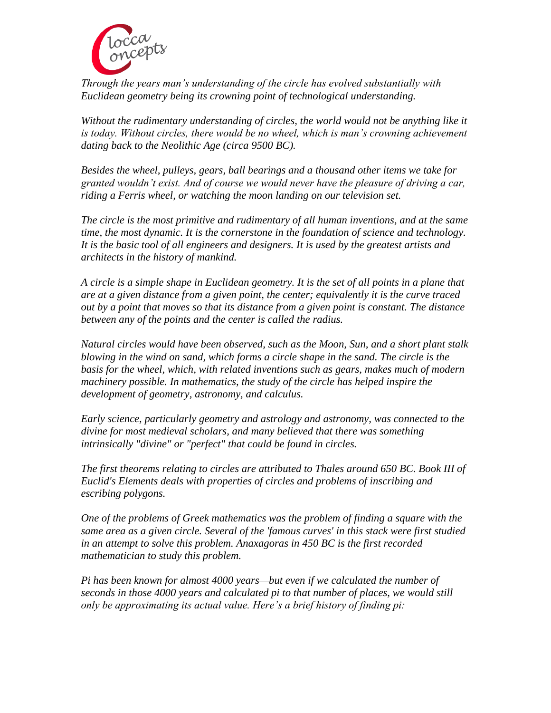

*Through the years man's understanding of the circle has evolved substantially with Euclidean geometry being its crowning point of technological understanding.* 

*Without the rudimentary understanding of circles, the world would not be anything like it*  is today. Without circles, there would be no wheel, which is man's crowning achievement *dating back to the Neolithic Age (circa 9500 BC).*

*Besides the wheel, pulleys, gears, ball bearings and a thousand other items we take for granted wouldn't exist. And of course we would never have the pleasure of driving a car, riding a Ferris wheel, or watching the moon landing on our television set.*

*The circle is the most primitive and rudimentary of all human inventions, and at the same time, the most dynamic. It is the cornerstone in the foundation of science and technology. It is the basic tool of all engineers and designers. It is used by the greatest artists and architects in the history of mankind.*

*A circle is a simple [shape](http://en.wikipedia.org/wiki/Shape) in [Euclidean geometry.](http://en.wikipedia.org/wiki/Euclidean_geometry) It is the set of all [points](http://en.wikipedia.org/wiki/Point_(geometry)) in a [plane](http://en.wikipedia.org/wiki/Plane_(mathematics)) that are at a given distance from a given point, the [center;](http://en.wikipedia.org/wiki/Centre_(geometry)) equivalently it is the curve traced out by a point that moves so that its distance from a given point is constant. The distance between any of the points and the center is called the [radius.](http://en.wikipedia.org/wiki/Radius)*

*Natural circles would have been observed, such as the Moon, Sun, and a short plant stalk blowing in the wind on sand, which forms a circle shape in the sand. The circle is the basis for the [wheel,](http://en.wikipedia.org/wiki/Wheel) which, with related inventions such as [gears,](http://en.wikipedia.org/wiki/Gear) makes much of modern*  machinery possible. In mathematics, the study of the circle has helped inspire the *development of geometry, [astronomy,](http://en.wikipedia.org/wiki/Astronomy) and calculus.*

*Early [science,](http://en.wikipedia.org/wiki/Science) particularly [geometry](http://en.wikipedia.org/wiki/Geometry) and [astrology and astronomy,](http://en.wikipedia.org/wiki/Astrology_and_astronomy) was connected to the divine for most [medieval scholars,](http://en.wikipedia.org/wiki/History_of_science_in_the_Middle_Ages) and many believed that there was something intrinsically "divine" or "perfect" that could be found in circles.*

*The first theorems relating to circles are attributed to Thales around 650 BC. Book III of Euclid's Elements deals with properties of circles and problems of inscribing and escribing polygons.*

*One of the problems of Greek mathematics was the problem of finding a square with the same area as a given circle. Several of the 'famous curves' in this stack were first studied in an attempt to solve this problem. Anaxagoras in 450 BC is the first recorded mathematician to study this problem.*

*Pi has been known for almost 4000 years—but even if we calculated the number of seconds in those 4000 years and calculated pi to that number of places, we would still only be approximating its actual value. Here's a brief history of finding pi:*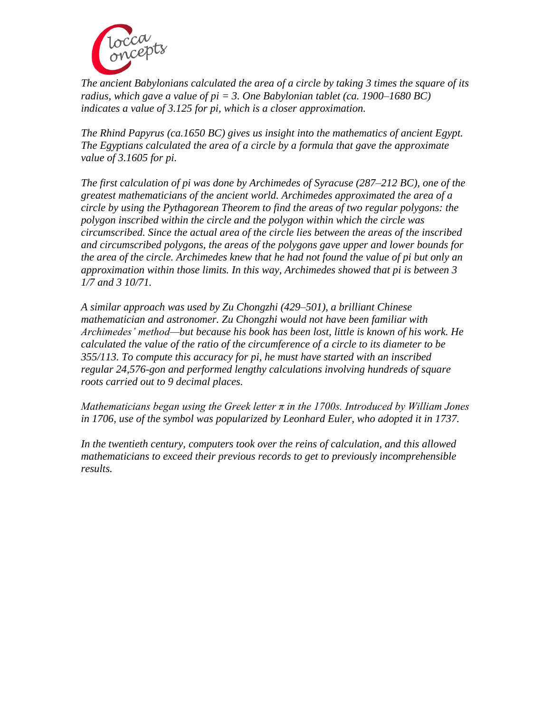

*The ancient Babylonians calculated the area of a circle by taking 3 times the square of its radius, which gave a value of pi = 3. One Babylonian tablet (ca. 1900–1680 BC) indicates a value of 3.125 for pi, which is a closer approximation.*

*The Rhind Papyrus (ca.1650 BC) gives us insight into the mathematics of ancient Egypt. The Egyptians calculated the area of a circle by a formula that gave the approximate value of 3.1605 for pi.*

*The first calculation of pi was done by Archimedes of Syracuse (287–212 BC), one of the greatest mathematicians of the ancient world. Archimedes approximated the area of a circle by using the Pythagorean Theorem to find the areas of two regular polygons: the polygon inscribed within the circle and the polygon within which the circle was circumscribed. Since the actual area of the circle lies between the areas of the inscribed and circumscribed polygons, the areas of the polygons gave upper and lower bounds for the area of the circle. Archimedes knew that he had not found the value of pi but only an approximation within those limits. In this way, Archimedes showed that pi is between 3 1/7 and 3 10/71.*

*A similar approach was used by Zu Chongzhi (429–501), a brilliant Chinese mathematician and astronomer. Zu Chongzhi would not have been familiar with Archimedes' method—but because his book has been lost, little is known of his work. He calculated the value of the ratio of the circumference of a circle to its diameter to be 355/113. To compute this accuracy for pi, he must have started with an inscribed regular 24,576-gon and performed lengthy calculations involving hundreds of square roots carried out to 9 decimal places.*

*Mathematicians began using the Greek letter π in the 1700s. Introduced by William Jones in 1706, use of the symbol was popularized by Leonhard Euler, who adopted it in 1737.*

*In the twentieth century, computers took over the reins of calculation, and this allowed mathematicians to exceed their previous records to get to previously incomprehensible results.*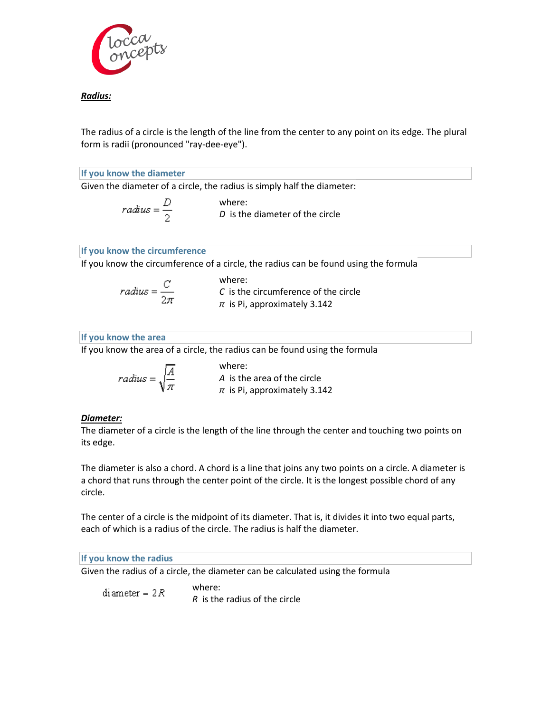

# *Radius:*

The radius of a circle is the length of the line from the center to any point on its edge. The plural form is radii (pronounced "ray-dee-eye").

#### **If you know the diameter**

Given the diameter of a circle, the radius is simply half the diameter:

| $radius = \frac{D}{2}$            | where: |
|-----------------------------------|--------|
| $D$ is the diameter of the circle |        |

### **If you know the circumference**

If you know the circumference of a circle, the radius can be found using the formula

*radius* = 
$$
\frac{C}{2\pi}
$$
  
\n*C* is the circumference of the circle  
\n*π* is Pi, approximately 3.142

# **If you know the area**

If you know the area of a circle, the radius can be found using the formula

 $radius = \sqrt{\frac{A}{\pi}}$ 

where: *A* is the area of the circle *π* is Pi, approximately 3.142

### *Diameter:*

The diameter of a circle is the length of the line through the center and touching two points on its edge.

The diameter is also a chord. A chord is a line that joins any two points on a circle. A diameter is a chord that runs through the center point of the circle. It is the longest possible chord of any circle.

The center of a circle is the midpoint of its diameter. That is, it divides it into two equal parts, each of which is a radius of the circle. The radius is half the diameter.

#### **If you know the radius**

Given the radius of a circle, the diameter can be calculated using the formula

where: diameter =  $2R$ *R* is the radius of the circle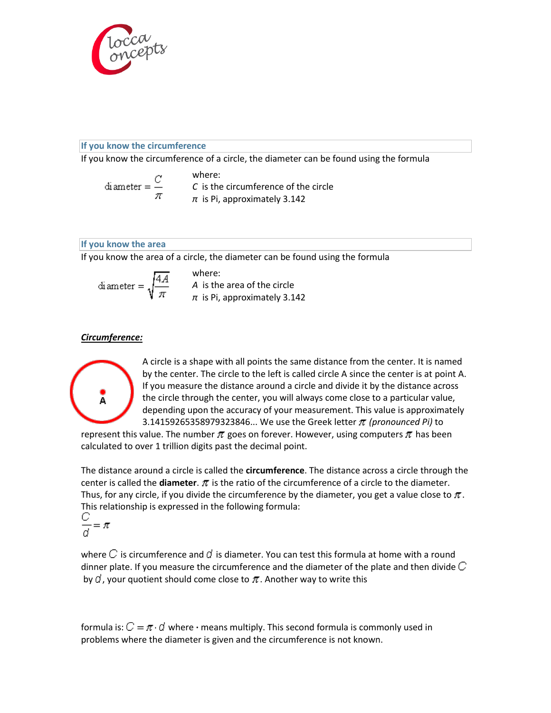

# **If you know the circumference**

If you know the circumference of a circle, the diameter can be found using the formula

$$
diameter = \frac{C}{\pi}
$$
 where:  
\n*C* is the circumference of the circle  
\n*π* is Pi, approximately 3.142

#### **If you know the area**

If you know the area of a circle, the diameter can be found using the formula

$$
diameter = \sqrt{\frac{4A}{\pi}}
$$
 where:  
A is the area of the circle  
 $\pi$  is Pi, approximately 3.142

# *Circumference:*



A circle is a shape with all points the same distance from the center. It is named by the center. The circle to the left is called circle A since the center is at point A. If you measure the distance around a circle and divide it by the distance across the circle through the center, you will always come close to a particular value, depending upon the accuracy of your measurement. This value is approximately 3.14159265358979323846... We use the Greek letter *(pronounced Pi)* to

represent this value. The number  $\pi$  goes on forever. However, using computers  $\pi$  has been calculated to over 1 trillion digits past the decimal point.

The distance around a circle is called the **circumference**. The distance across a circle through the center is called the **diameter**.  $\pi$  is the ratio of the circumference of a circle to the diameter. Thus, for any circle, if you divide the circumference by the diameter, you get a value close to  $\pi$ . This relationship is expressed in the following formula:

$$
\frac{C}{d} = \pi
$$

where  $C$  is circumference and  $d$  is diameter. You can test this formula at home with a round dinner plate. If you measure the circumference and the diameter of the plate and then divide  $C$ by  $\vec{a}$ , your quotient should come close to  $\pi$ . Another way to write this

formula is:  $C = \pi \cdot d$  where  $\cdot$  means multiply. This second formula is commonly used in problems where the diameter is given and the circumference is not known.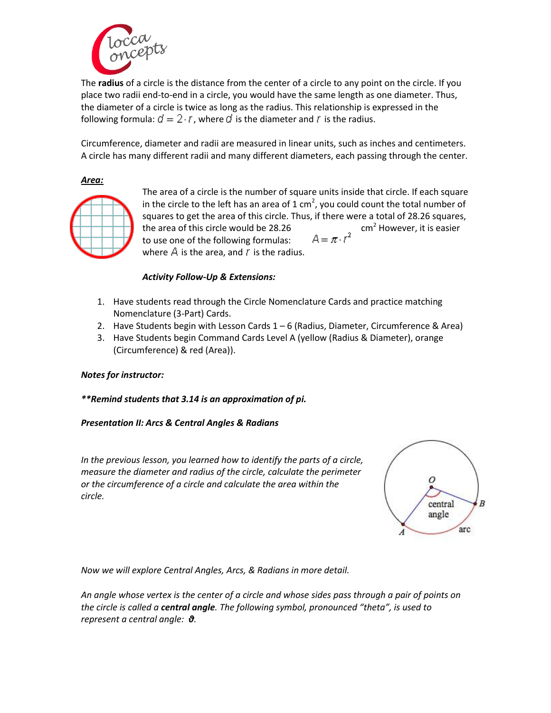

The **radius** of a circle is the distance from the center of a circle to any point on the circle. If you place two radii end-to-end in a circle, you would have the same length as one diameter. Thus, the diameter of a circle is twice as long as the radius. This relationship is expressed in the following formula:  $d = 2 \cdot r$ , where d is the diameter and r is the radius.

Circumference, diameter and radii are measured in linear units, such as inches and centimeters. A circle has many different radii and many different diameters, each passing through the center.

*Area:* 



The area of a circle is the number of square units inside that circle. If each square in the circle to the left has an area of 1 cm<sup>2</sup>, you could count the total number of squares to get the area of this circle. Thus, if there were a total of 28.26 squares, the area of this circle would be 28.26 cm<sup>2</sup> However, it is easier to use one of the following formulas:  $A = \pi \cdot r^2$ to use one of the following formulas: where  $\triangle$  is the area, and  $\Gamma$  is the radius.

# *Activity Follow-Up & Extensions:*

- 1. Have students read through the Circle Nomenclature Cards and practice matching Nomenclature (3-Part) Cards.
- 2. Have Students begin with Lesson Cards 1 6 (Radius, Diameter, Circumference & Area)
- 3. Have Students begin Command Cards Level A (yellow (Radius & Diameter), orange (Circumference) & red (Area)).

### *Notes for instructor:*

*\*\*Remind students that 3.14 is an approximation of pi.* 

### *Presentation II: Arcs & Central Angles & Radians*

*In the previous lesson, you learned how to identify the parts of a circle, measure the diameter and radius of the circle, calculate the perimeter or the circumference of a circle and calculate the area within the circle.*



*Now we will explore Central Angles, Arcs, & Radians in more detail.*

*An angle whose vertex is the center of a circle and whose sides pass through a pair of points on the circle is called a central angle. The following symbol, pronounced "theta", is used to represent a central angle: θ.*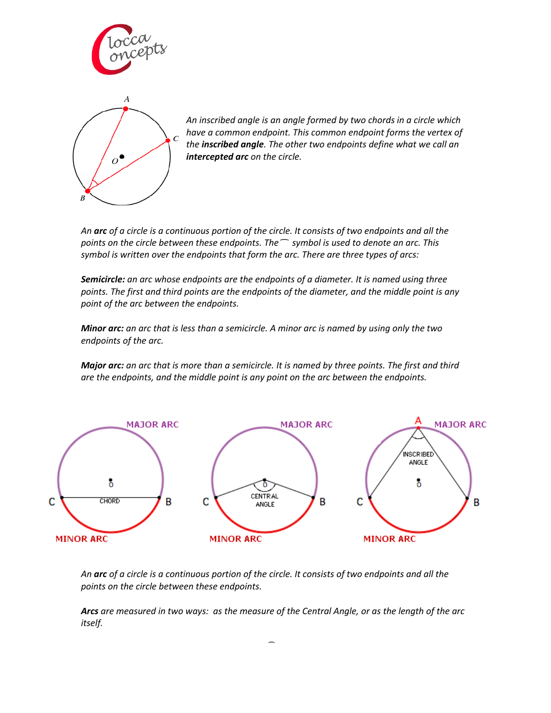



*An inscribed angle is an angle formed by two chords in a circle which have a common endpoint. This common endpoint forms the vertex of the inscribed angle. The other two endpoints define what we call an intercepted arc on the circle.*

*An arc of a circle is a continuous portion of the circle. It consists of two endpoints and all the points on the circle between these endpoints. The ͡ symbol is used to denote an arc. This symbol is written over the endpoints that form the arc. There are three types of arcs:*

*Semicircle: an arc whose endpoints are the endpoints of a diameter. It is named using three points. The first and third points are the endpoints of the diameter, and the middle point is any point of the arc between the endpoints.*

*Minor arc: an arc that is less than a semicircle. A minor arc is named by using only the two endpoints of the arc.*

*Major arc: an arc that is more than a semicircle. It is named by three points. The first and third are the endpoints, and the middle point is any point on the arc between the endpoints.*



*An arc of a circle is a continuous portion of the circle. It consists of two endpoints and all the points on the circle between these endpoints.* 

*Arcs are measured in two ways: as the measure of the Central Angle, or as the length of the arc itself.*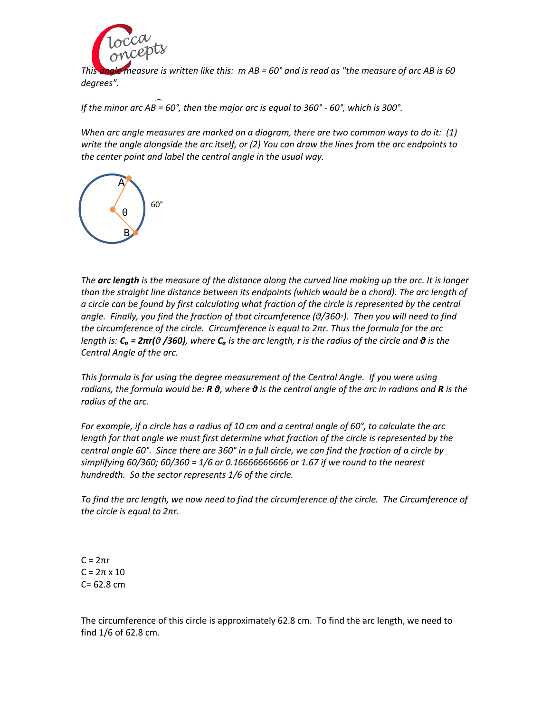

*This angle measure is written like this: m AB = 60° and is read as "the measure of arc AB is 60 degrees".* 

*If the minor arc AB = 60°, then the major arc is equal to 360° - 60°, which is 300°.* ͡

*When arc angle measures are marked on a diagram, there are two common ways to do it: (1) write the angle alongside the arc itself, or (2) You can draw the lines from the arc endpoints to the center point and label the central angle in the usual way.*



*The arc length is the measure of the distance along the curved line making up the arc. It is longer than the straight line distance between its endpoints (which would be a chord). The arc length of a circle can be found by first calculating what fraction of the circle is represented by the central angle. Finally, you find the fraction of that circumference (θ/360◦). Then you will need to find the circumference of the circle. Circumference is equal to 2πr. Thus the formula for the arc length is:*  $C_a = 2\pi r(\vartheta/360)$ , where  $C_a$  *is the arc length, r is the radius of the circle and*  $\vartheta$  *is the Central Angle of the arc.* 

*This formula is for using the degree measurement of the Central Angle. If you were using radians, the formula would be: R θ, where θ is the central angle of the arc in radians and R is the radius of the arc.* 

*For example, if a circle has a radius of 10 cm and a central angle of 60°, to calculate the arc*  length for that angle we must first determine what fraction of the circle is represented by the *central angle 60°. Since there are 360° in a full circle, we can find the fraction of a circle by simplifying 60/360; 60/360 = 1/6 or 0.16666666666 or 1.67 if we round to the nearest hundredth. So the sector represents 1/6 of the circle.* 

*To find the arc length, we now need to find the circumference of the circle. The Circumference of the circle is equal to 2πr.* 

C = 2πr  $C = 2\pi \times 10$ C= 62.8 cm

The circumference of this circle is approximately 62.8 cm. To find the arc length, we need to find 1/6 of 62.8 cm.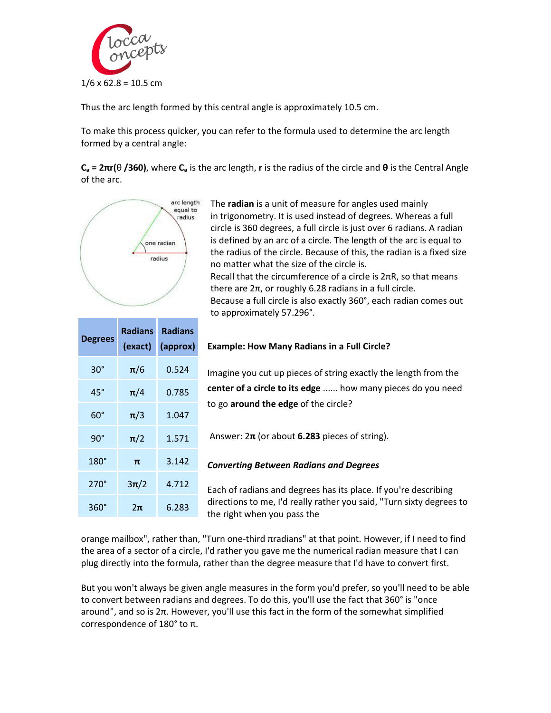

Thus the arc length formed by this central angle is approximately 10.5 cm.

To make this process quicker, you can refer to the formula used to determine the arc length formed by a central angle:

**C**<sub>a</sub> =  $2\pi$ **r**( $\theta$  **/360**), where **C**<sub>a</sub> is the arc length, **r** is the radius of the circle and **θ** is the Central Angle of the arc.



The **radian** is a unit of measure for angles used mainly in trigonometry. It is used instead of degrees. Whereas a full circle is 360 degrees, a full circle is just over 6 radians. A radian is defined by an arc of a circle. The length of the arc is equal to the radius of the circle. Because of this, the radian is a fixed size no matter what the size of the circle is. Recall that the circumference of a circle is  $2\pi R$ , so that means there are  $2π$ , or roughly 6.28 radians in a full circle. Because a full circle is also exactly 360°, each radian comes out to approximately 57.296°.

| <b>Degrees</b> | Radians<br>(exact) | <b>Radians</b><br>(approx) |
|----------------|--------------------|----------------------------|
| 30°            | $\pi/6$            | 0.524                      |
| $45^{\circ}$   | $\pi/4$            | 0.785                      |
| 60°            | $\pi/3$            | 1.047                      |
| 90°            | $\pi/2$            | 1.571                      |
| $180^\circ$    | π                  | 3.142                      |
| $270^\circ$    | $3\pi/2$           | 4.712                      |
| 360°           | 2π                 | 6.283                      |

### **Example: How Many Radians in a [Full Circle?](http://www.mathsisfun.com/geometry/full-rotation.html)**

Imagine you cut up pieces of string exactly the length from the **center of a circle to its edge** ...... how many pieces do you need to go **around the edge** of the circle?

Answer: 2**π** (or about **6.283** pieces of string).

*Converting Between Radians and Degrees*

Each of radians and degrees has its place. If you're describing directions to me, I'd really rather you said, "Turn sixty degrees to the right when you pass the

orange mailbox", rather than, "Turn one-third πradians" at that point. However, if I need to find the area of a sector of a circle, I'd rather you gave me the numerical radian measure that I can plug directly into the formula, rather than the degree measure that I'd have to convert first.

But you won't always be given angle measures in the form you'd prefer, so you'll need to be able to convert between radians and degrees. To do this, you'll use the fact that 360° is "once around", and so is 2π. However, you'll use this fact in the form of the somewhat simplified correspondence of 180° to π.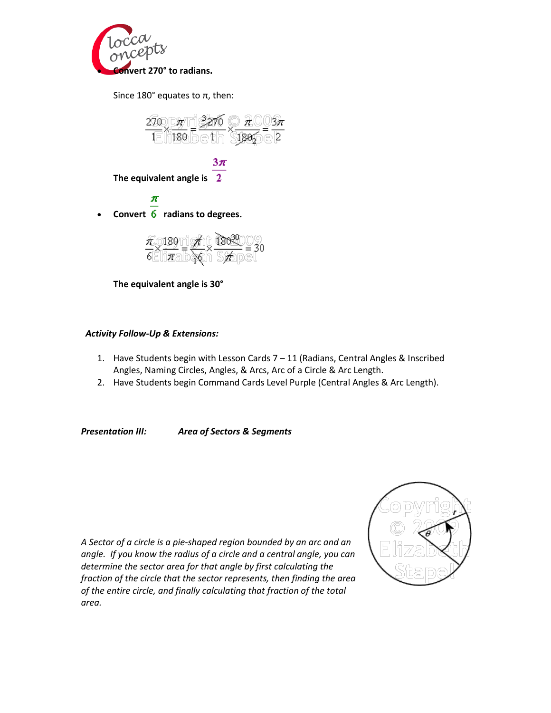

Since 180 $^{\circ}$  equates to  $\pi$ , then:

$$
\frac{270}{1} \times \frac{\pi}{180} = \frac{3270}{1} \times \frac{\pi}{1802} = \frac{3\pi}{2}
$$

$$
3\pi
$$

**The equivalent angle is** 

π **Convert radians to degrees.**

$$
\frac{\pi}{6} \times \frac{180}{\pi} = \frac{\cancel{\pi}}{18} \times \frac{180^{30}}{\cancel{\pi}} = 30
$$

**The equivalent angle is 30°**

### *Activity Follow-Up & Extensions:*

- 1. Have Students begin with Lesson Cards 7 11 (Radians, Central Angles & Inscribed Angles, Naming Circles, Angles, & Arcs, Arc of a Circle & Arc Length.
- 2. Have Students begin Command Cards Level Purple (Central Angles & Arc Length).

*Presentation III: Area of Sectors & Segments*



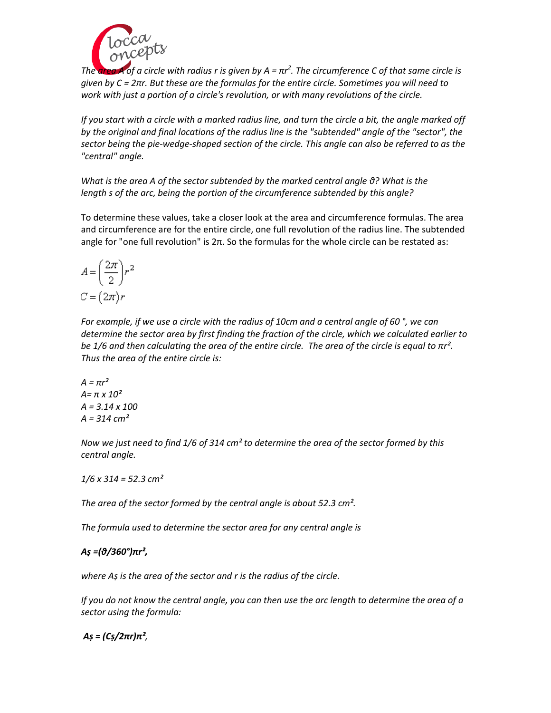

*The area A of a circle with radius r is given by A = πr 2 . The circumference C of that same circle is given by C = 2πr. But these are the formulas for the entire circle. Sometimes you will need to work with just a portion of a circle's revolution, or with many revolutions of the circle.*

*If you start with a circle with a marked radius line, and turn the circle a bit, the angle marked off by the original and final locations of the radius line is the "subtended" angle of the "sector", the sector being the pie-wedge-shaped section of the circle. This angle can also be referred to as the "central" angle.*

*What is the area A of the sector subtended by the marked central angle θ? What is the length s of the arc, being the portion of the circumference subtended by this angle?*

To determine these values, take a closer look at the area and circumference formulas. The area and circumference are for the entire circle, one full revolution of the radius line. The subtended angle for "one full revolution" is 2π. So the formulas for the whole circle can be restated as:

$$
A = \left(\frac{2\pi}{2}\right)r^2
$$

$$
C = \left(2\pi\right)r
$$

*For example, if we use a circle with the radius of 10cm and a central angle of 60 °, we can determine the sector area by first finding the fraction of the circle, which we calculated earlier to be 1/6 and then calculating the area of the entire circle. The area of the circle is equal to*  $πr²$ *. Thus the area of the entire circle is:*

 $A = \pi r^2$ *A= π x 10² A = 3.14 x 100 A = 314 cm²*

*Now we just need to find 1/6 of 314 cm² to determine the area of the sector formed by this central angle.* 

*1/6 x 314 = 52.3 cm²*

*The area of the sector formed by the central angle is about 52.3 cm².* 

*The formula used to determine the sector area for any central angle is* 

# *Aṣ =(θ/360°)πr²,*

*where Aṣ is the area of the sector and r is the radius of the circle.*

*If you do not know the central angle, you can then use the arc length to determine the area of a sector using the formula:*

*Aṣ = (Cṣ/2πr)π²,*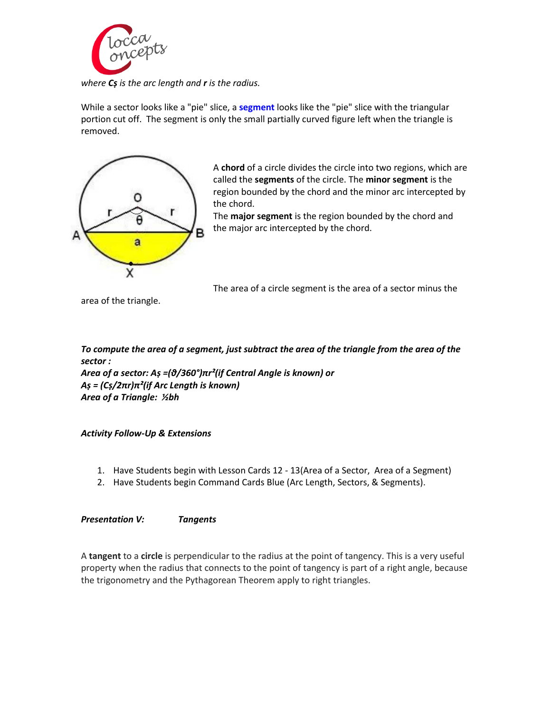

*where Cṣ is the arc length and r is the radius.*

While a sector looks like a "pie" slice, a **segment** looks like the "pie" slice with the triangular portion cut off. The segment is only the small partially curved figure left when the triangle is removed.



A **chord** of a circle divides the circle into two regions, which are called the **segments** of the circle. The **minor segment** is the region bounded by the chord and the minor arc intercepted by the chord.

The **major segment** is the region bounded by the chord and the major arc intercepted by the chord.

The area of a circle segment is the area of a sector minus the

area of the triangle.

*To compute the area of a segment, just subtract the area of the triangle from the area of the sector :*

*Area of a sector: Aṣ =(θ/360°)πr²(if Central Angle is known) or Aṣ = (Cṣ/2πr)π²(if Arc Length is known) Area of a Triangle: ½bh*

*Activity Follow-Up & Extensions*

- 1. Have Students begin with Lesson Cards 12 13(Area of a Sector, Area of a Segment)
- 2. Have Students begin Command Cards Blue (Arc Length, Sectors, & Segments).

*Presentation V: Tangents* 

A **tangent** to a **circle** is perpendicular to the radius at the point of tangency. This is a very useful property when the radius that connects to the point of tangency is part of a right angle, because the trigonometry and the Pythagorean Theorem apply to right triangles.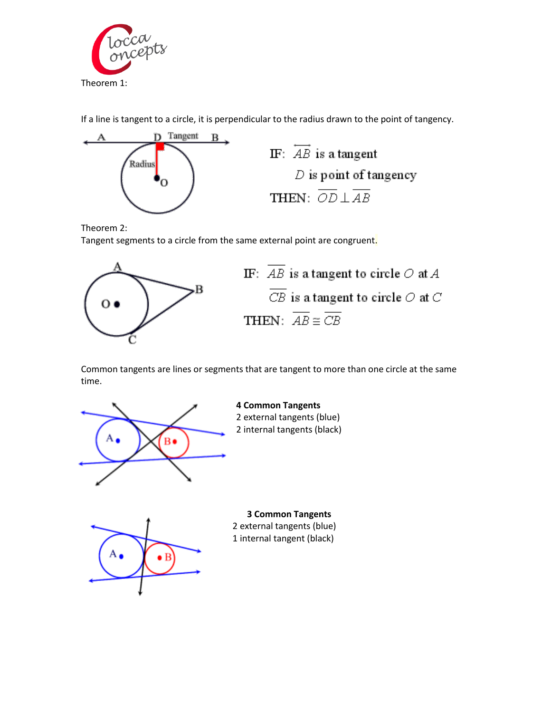

If a line is tangent to a circle, it is perpendicular to the radius drawn to the point of tangency.



Theorem 2:

Tangent segments to a circle from the same external point are congruent.





Common tangents are lines or segments that are tangent to more than one circle at the same time.



**4 Common Tangents** 2 external tangents (blue) 2 internal tangents (black)



**3 Common Tangents** 2 external tangents (blue) 1 internal tangent (black)